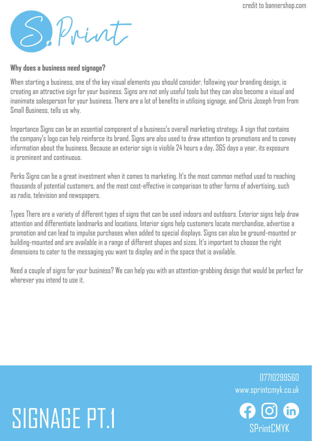credit to bannershop.com

S. Print

#### **Why does a business need signage?**

When starting a business, one of the key visual elements you should consider, following your branding design, is creating an attractive sign for your business. Signs are not only useful tools but they can also become a visual and inanimate salesperson for your business. There are a lot of benefits in utilising signage, and Chris Joseph from from Small Business, tells us why.

Importance Signs can be an essential component of a business's overall marketing strategy. A sign that contains the company's logo can help reinforce its brand. Signs are also used to draw attention to promotions and to convey information about the business. Because an exterior sign is visible 24 hours a day, 365 days a year, its exposure is prominent and continuous.

Perks Signs can be a great investment when it comes to marketing. It's the most common method used to reaching thousands of potential customers, and the most cost-effective in comparison to other forms of advertising, such as radio, television and newspapers.

Types There are a variety of different types of signs that can be used indoors and outdoors. Exterior signs help draw attention and differentiate landmarks and locations. Interior signs help customers locate merchandise, advertise a promotion and can lead to impulse purchases when added to special displays. Signs can also be ground-mounted or building-mounted and are available in a range of different shapes and sizes. It's important to choose the right dimensions to cater to the messaging you want to display and in the space that is available.

Need a couple of signs for your business? We can help you with an attention-grabbing design that would be perfect for wherever you intend to use it.

## SIGNAGE PT.1 GOOG

www.sprintcmyk.co.uk 07710299560